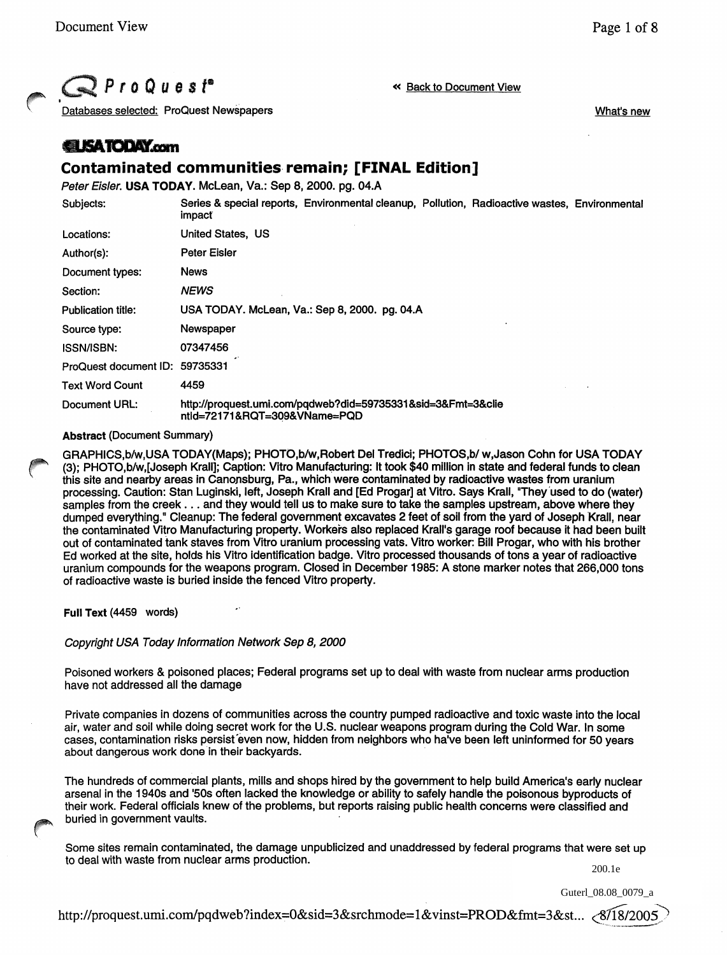What's new

 $\mathbb{Q}$  ProQuest<sup>®</sup>

« Back to Document View

Databases selected: ProQuest Newspapers

# *<u>ELISATODAY.com</u>*

# **Contaminated** communities- **remain; [FINAL Edition]**

Peter Eisler. USA TODAY. McLean, Va.: Sep 8, 2000. pg. 04.A

| Subjects:                      | Series & special reports, Environmental cleanup, Pollution, Radioactive wastes, Environmental<br>impact |
|--------------------------------|---------------------------------------------------------------------------------------------------------|
| Locations:                     | United States, US                                                                                       |
| Author(s):                     | <b>Peter Eisler</b>                                                                                     |
| Document types:                | <b>News</b>                                                                                             |
| Section:                       | <b>NEWS</b>                                                                                             |
| <b>Publication title:</b>      | USA TODAY. McLean, Va.: Sep 8, 2000. pg. 04.A                                                           |
| Source type:                   | Newspaper                                                                                               |
| <b>ISSN/ISBN:</b>              | 07347456                                                                                                |
| ProQuest document ID: 59735331 |                                                                                                         |
| <b>Text Word Count</b>         | 4459                                                                                                    |
| Document URL:                  | http://proquest.umi.com/pqdweb?did=59735331&sid=3&Fmt=3&clie<br>ntld=72171&RQT=309&VName=PQD            |

### Abstract (Document Summary)

GRAPHICS,blw,USA TODAY(Maps); PHOTO,blw,Robert Del Tredici; PHOTOS,b/w,Jason Cohn for USA TODAY (3); PHOTO,b/w,[Joseph Krall]; Caption: Vitro Manufacturing: It took \$40 million in state and federal funds to clean this site and nearby areas in Canonsburg, Pa., which were contaminated by radioactive wastes from uranium processing. Caution: Stan Luginskl, left, Joseph Krall and [Ed Progar] at Vitro. Says Krall, "They'used to do (water) samples from the creek ... and they would tell us to make sure to take the samples upstream, above where they dumped everything." Cleanup: The federal government excavates 2 feet of soil from the yard of Joseph Krall, near the contaminated Vitro Manufacturing property. Workers also replaced Krall's garage roof because it had been built out of contaminated tank staves from Vitro uranium processing vats. Vitro worker: Bill Progar, who with his brother Ed worked at the site, holds his Vitro Identification badge. Vitro processed thousands of tons a year of radioactive uranium compounds for the weapons program. Closed in December 1985: A stone marker notes that 266,000 tons of radioactive waste is buried inside the fenced Vitro property.

Full Text (4459 words)

Copyright USA Today Information Network Sep 8, 2000

Poisoned workers & poisoned places; Federal programs set up to deal with waste from nuclear arms production have not addressed all the damage

Private companies in dozens of communities across the country pumped radioactive and toxic waste into the local air, water and soil while doing secret work for the U.S. nuclear weapons program during the Cold War. In some cases, contamination risks persist even now, hidden from neighbors who have been left uninformed for 50 years about dangerous work done in their backyards. .

The hundreds of commercial plants, mills and shops hired by the government to help build America's early nuclear arsenal in the 1940s and '50s often lacked the knowledge or ability to safely handle the poisonous byproducts of their work. Federal officials knew of the problems, but reports raising public health concerns were classified and buried in government vaults.

Some sites remain contaminated, the damage unpublicized and unaddressed by federal programs that were set up to deal with waste from nuclear arms production.

200.1e

Guterl\_08.08\_0079\_a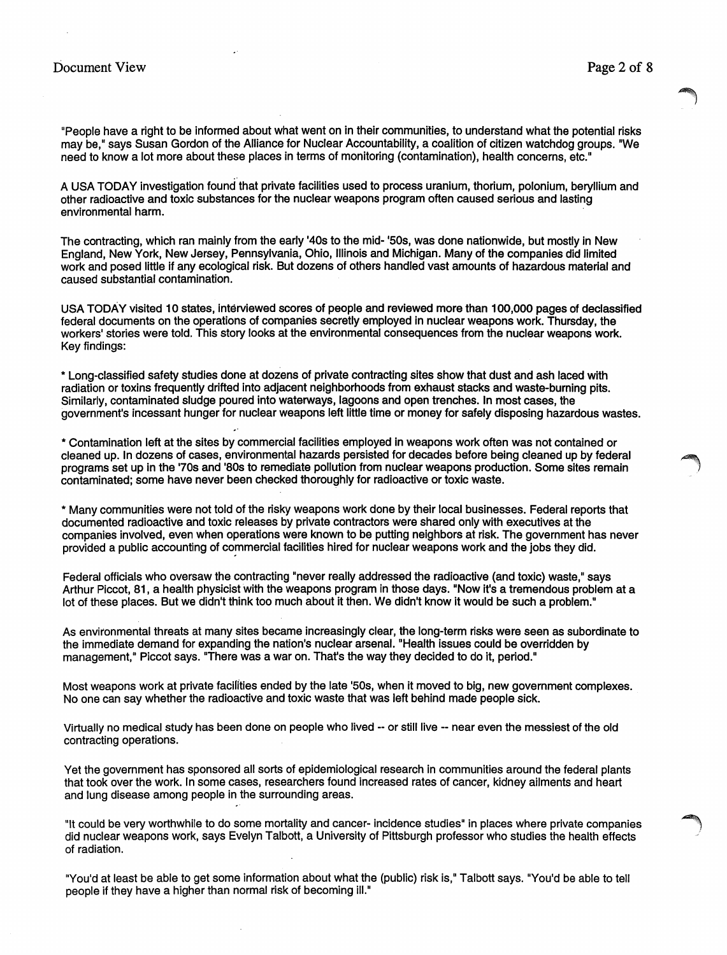"People have a right to be informed about what went on in their communities, to understand what the potential risks may be," says Susan Gordon of the Alliance for Nuclear Accountability, a coalition of citizen watchdog groups. "We need to know a lot more about these places in terms of monitoring (contamination), health concerns, etc."

A USA TODAY investigation found that private facilities used to process uranium, thorium, polonium, beryllium and other radioactive and toxic substances for the nuclear weapons program often caused serious and lasting environmental harm. .

The contracting, which ran mainly from the early '40s to the mid- '50s, was done nationwide, but mostly in New England, New York, New Jersey, Pennsylvania, Ohio, Illinois and Michigan. Many of the companies did limited work and posed little if any ecological risk. But dozens of others handled vast amounts of hazardous material and caused substantial contamination.

USA TODAY visited 10 states, interviewed scores of people and reviewed more than 100,000 pages of declassified federal documents on the operations of companies secretly employed in nuclear weapons work. Thursday, the workers' stories were told. This story looks at the environmental consequences from the nuclear weapons work. Key findings:

\* Long-classified safety studies done at dozens of private contracting sites show that dust and ash laced with radiation or toxins frequently drifted into adjacent neighborhoods from exhaust stacks and waste-burning pits. Similarly, contaminated sludge poured into waterways, lagoons and open trenches. In most cases, the government's incessant hunger for nuclear weapons left little time or money for safely disposing hazardous wastes.

\* Contamination left at the sites by commercial facilities employed in weapons work often was not contained or cleaned up. In dozens of cases, environmental hazards persisted for decades before being cleaned up by federal programs set up in the '70s and '80s to remediate pollution from nuclear weapons production. Some sites remain . ! contaminated; some have never been checked thoroughly for radioactive or toxic waste.

\* Many communities were not told of the risky weapons work done by their local businesses. Federal reports that documented radioactive and toxic releases by private contractors were shared only with executives at the companies involved, even when operations were known to be putting neighbors at risk. The government has never provided a public accounting of commercial facilities hired for nuclear weapons work and the jobs they did.

Federal officials who oversaw the contracting "never really addressed the radioactive (and toxic) waste." says Arthur Piccot, 81, a health physicist with the weapons program in those days. "Now it's a tremendous problem at a lot of these places. But we didn't think too much about it then. We didn't know it would be such a problem."

As environmental threats at many sites became increasingly clear, the long-term risks were seen as subordinate to the immediate demand for expanding the nation's nuclear arsenal. "Health issues could be overridden by management," Piccot says. "There was a war on. That's the way they decided to do it, period."

Most weapons work at private facilities ended by the late '50s, when It moved to big, new government complexes. No one can say whether the radioactive and toxic waste that was left behind made people sick.

Virtually no medical study has been done on people who lived -- or still live -- near even the messiest of the old contracting operations.

Yet the government has sponsored all sorts of epidemiological research in communities around the federal plants that took over the work. In some cases, researchers found increased rates of cancer, kidney ailments and heart and lung disease among people in the surrounding areas.

"It could be very worthwhile to do some mortality and cancer- incidence studies" in places where private companies did nuclear weapons work, says Evelyn Talbott, a University of Pittsburgh professor who studies the health effects of radiation.

"You'd at least be able to get some information about what the (public) risk is," Talbott says. "You'd be able to tell people if they have a higher than normal risk of becoming ill."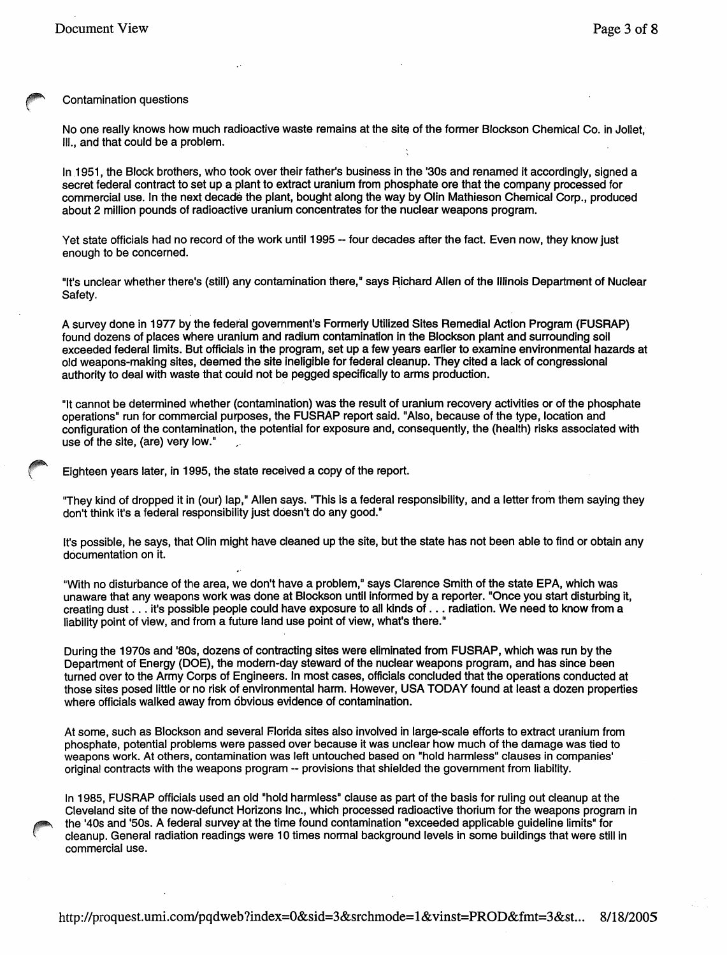#### Contamination questions

No one really knows how much radioactive waste remains at the site of the former Blockson Chemical Co. in Joliet, III., and that could be a problem.

In 1951, the Block brothers, who took over their father's business in the '30s and renamed it accordingly, signed a secret federal contract to set up a plant to extract uranium from phosphate ore that the company processed for commercial use. In the next decade the plant, bought along the way by Olin Mathieson Chemical Corp., produced about 2 million pounds of radioactive uranium concentrates for the nuclear weapons program.

Yet state officials had no record of the work until 1995 -- four decades after the fact. Even now, they know just enough to be concerned.

"It's unclear whether there's (still) any contamination there," says Richard Allen of the Illinois Department of Nuclear Safety.

A survey done in 1977 by the federal govemment's Formerly Utilized Sites Remedial Action Program (FUSRAP) found dozens of places where uranium and radium contamination in the Blockson plant and surrounding soil exceeded federal limits. But officials in the program, set up a few years earlier to examine environmental hazards at old weapons-making sites, deemed the site ineligible for federal cleanup. They cited a lack of congressional authority to deal with waste that could not be pegged specifically to arms production.

"It cannot be determined whether (contamination) was the result of uranium recovery activities or of the phosphate operations· run for commercial purposes, the FUSRAP report said. "Also, because of the type, location and configuration of the contamination, the potential for exposure and, consequently, the (health) risks associated with use of the site, (are) very low."

Eighteen years later, in 1995, the state received a copy of the report.

"They kind of dropped it in (our) lap," Allen says. "This is a federal responsibility, and a letter from them saying they don't think it's a federal responsibility just doesn't do any good."

It's possible, he says, that Olin might have cleaned up the site, but the state has not been able to find or obtain any documentation on it.

"With no disturbance of the area, we don't have a problem," says Clarence Smith of the state EPA, which was unaware that any weapons work was done at Blockson until informed by a reporter. "Once you start disturbing it, creating dust . . . it's possible people could have exposure to all kinds of . . . radiation. We need to know from a liability point of view, and from a future land use point of view, what's there."

During the 1970s and '80s, dozens of contracting sites were eliminated from FUSRAP, which was run by the Department of Energy (DOE), the modern-day steward of the nuclear weapons program, and has since been turned over to the Army Corps of Engineers. In most cases, officials concluded that the operations conducted at those sites posed little or no risk of environmental harm. However, USA TODAY found at least a dozen properties where officials walked away from obvious evidence of contamination.

At some, such as Blockson and several Florida sites also involved in large-scale efforts to extract uranium from phosphate, potential problems were passed over because it was unclear how much of the damage was tied to weapons work. At others, contamination was left untouched based on "hold harmless" clauses in companies' original contracts with the weapons program - provisions that shielded the government from liability.

In 1985, FUSRAP officials used an old "hold harmless" clause as part of the basis for ruling out cleanup at the Cleveland site of the now-defunct Horizons Inc., which processed radioactive thorium for the weapons program in the '40s and '50s. A federal survey at the time found contamination "exceeded applicable guideline limits" for cleanup. General radiation readings were 10 times normal background levels in some buildings that were still in commercial use.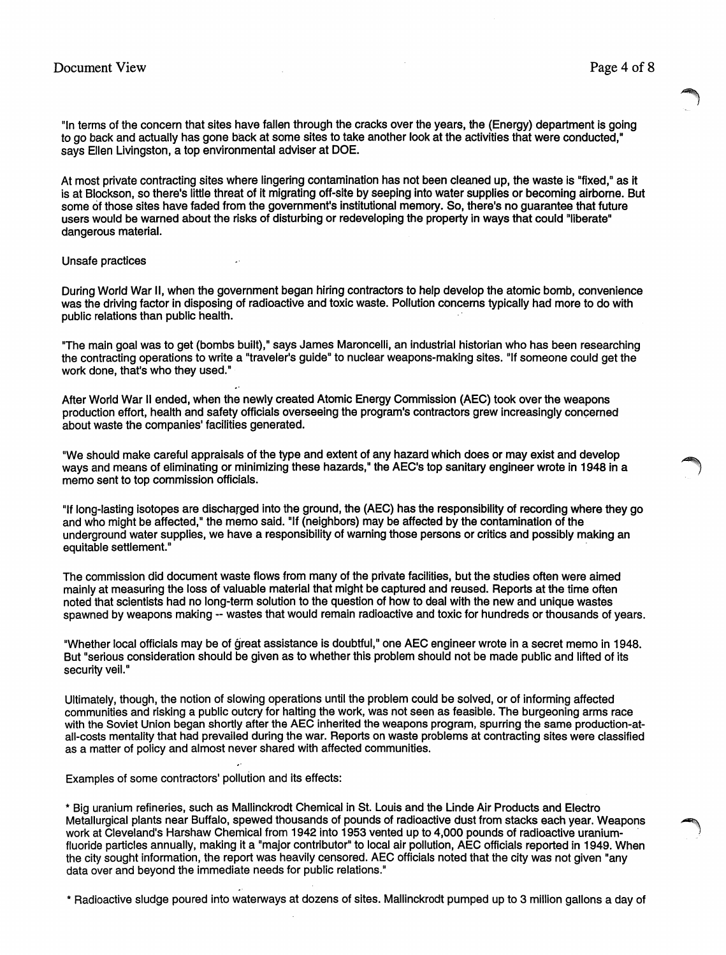"In terms of the concern that sites have fallen through the cracks over the years, the (Energy) department is going to go back and actually has gone back at some sites to take another look at the activities that were conducted,· says Ellen Livingston, a top environmental adviser at DOE.

At most private contracting sites where lingering contamination has not been cleaned up, the waste is "fixed," as it is at Blockson, so there's little threat of it migrating off-site by seeping into water supplies or becoming airborne. But some of those sites have faded from the government's institutional memory. So, there's no guarantee that future users would be warned about the risks of disturbing or redeveloping the property in ways that could "liberate" dangerous material.

#### Unsafe practices

During World War II, when the government began hiring contractors to help develop the atomic bomb, convenience was the driving factor in disposing of radioactive and toxic waste. Pollution concerns typically had more to do with public relations than public health.

"The main goal was to get (bombs built)," says James Maroncelli, an industrial historian who has been researching the contracting operations to write a "traveler's guide" to nuclear weapons-making sites. "If someone could get the work done, that's who they used."

After World War II ended, when the newly created Atomic Energy Commission (AEC) took over the weapons production effort, health and safety officials overseeing the program's contractors grew increasingly concerned about waste the companies' facilities generated.

"We should make careful appraisals of the type and extent of any hazard which does or may exist and develop ways and means of eliminating or minimizing these hazards," the AEC's top sanitary engineer wrote in 1948 in a<br>memo sent to top commission officials.

"If long-lasting isotopes are discharged into the ground, the (AEC) has the responsibility of recording where they go and who might be affected," the memo said. "If (neighbors) may be affected by the contamination of the underground water supplies, we have a responsibility of warning those persons or critics and possibly making an equitable settlement."

The commission did document waste flows from many of the private facilities, but the studies often were aimed mainly at measuring the loss of valuable material that might be captured and reused. Reports at the time often noted that scientists had no long-term solution to the question of how to deal with the new and unique wastes spawned by weapons making -- wastes that would remain radioactive and toxic for hundreds or thousands of years.

"Whether local officials may be of great assistance is doubtful," one AEC engineer wrote in a secret memo in 1948. But "serious consideration should be given as to whether this problem should not be made public and lifted of its security veil."

Ultimately, though, the notion of slowing operations until the problem could be solved, or of informing affected communities and risking a public outcry for halting the work, was not seen as feasible. The burgeoning arms race with the Soviet Union began shortly after the AEC inherited the weapons program, spurring the same production-atall-costs mentality that had prevailed during the war. Reports on waste problems at contracting sites were classified as a matter of policy and almost never shared with affected communities.

Examples of some contractors' pollution and its effects:

,"

\* Big uranium refineries, such as Mallinckrodt Chemical in St. Louis and the Linde Air Products and Electro Metallurgical plants near Buffalo, spewed thousands of pounds of radioactive dust from stacks each year. Weapons ~ work at Cleveland's Harshaw Chemical from 1942 into 1953 vented up to 4,000 pounds of radioactive uraniumfluoride particles annually, making it a "major contributor" to local air pollution, AEC officials reported in 1949. When the city sought information, the report was heavily censored. AEC officials noted that the city was not given "any data over and beyond the immediate needs for public relations."

\* Radioactive sludge poured into waterways at dozens of sites. Mallinckrodt pumped up to 3 million gallons a day of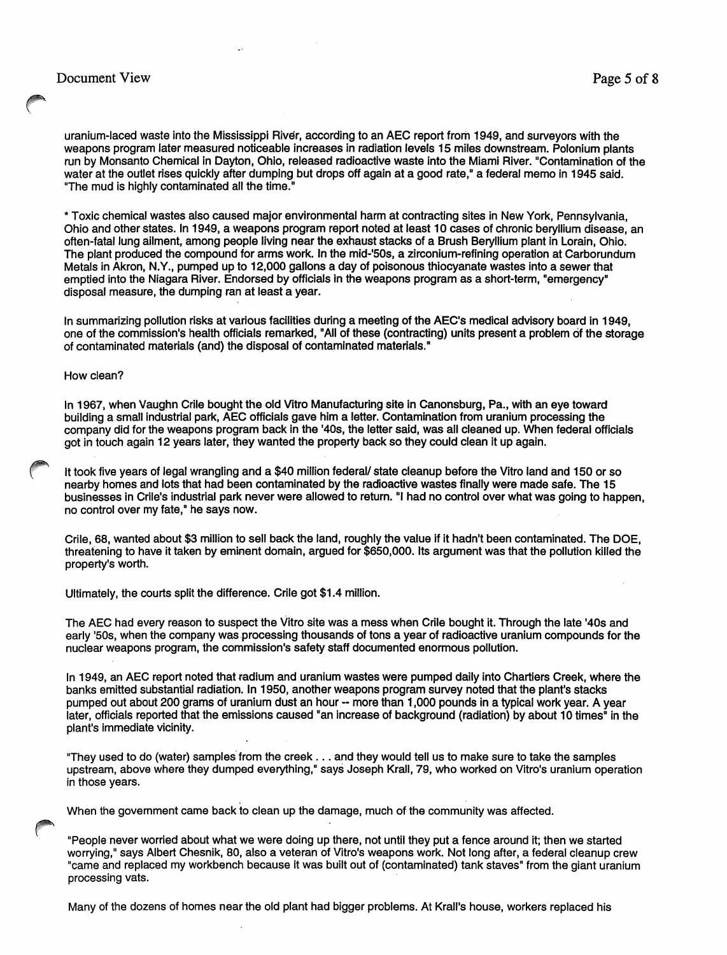uranium-laced waste into the Mississippi River, according to an AEC report from 1949, and surveyors with the weapons program later measured noticeable increases in radiation levels 15 miles downstream. Polonium plants run by Monsanto Chemical in Dayton, Ohio, released radioactive waste into the Miami River. "Contamination of the water at the outlet rises quickly after dumping but drops off again at a good rate," a federal memo in 1945 said. "The mud is highly contaminated all the time."

\* Toxic chemical wastes also caused major environmental harm at contracting sites in New York, Pennsylvania, Ohio and other states. In 1949, a weapons program report noted at least 10 cases of chronic beryllium disease, an often-fatal lung ailment, among people living near the exhaust stacks of a Brush Beryllium plant in Lorain, Ohio. The plant produced the compound for arms work. In the mid-'50s, a zirconium-refining operation at Carborundum Metals in Akron, N.Y., pumped up to 12,000 gallons a day of poisonous thiocyanate wastes into a sewer that emptied into the Niagara River. Endorsed by officials in the weapons program as a short-term, "emergency· disposal measure, the dumping ran at least a year.

In summarizing pollution risks at various facilities during a meeting of the AEC's medical advisory board in 1949, one of the commission's health officials remarked, "All of these (contracting) units present a problem cif the storage of contaminated materials (and) the disposal of contaminated materials."

#### How clean?

In 1967, when Vaughn Crile bought the old Vitro Manufacturing site in Canonsburg, Pa., with an eye toward building a small industrial park, AEC officials gave him a letter. Contamination from uranium processing the company did for the weapons program back in the '40s, the letter said, was all cleaned up. When federal officials got in touch again 12 years later, they wanted the property back so they could clean it up again.

It took five years of legal wrangling and a \$40 million federal/ state cleanup before the Vitro land and 150 or so nearby homes and lots that had been contaminated by the radioactive wastes finally were made safe. The 15 businesses in Crile's industrial park never were allowed to return. "I had no control over what was going to happen, no control over my fate," he says now.

Crile, 68, wanted about \$3 million to sell back the land, roughly the value if it hadn't been contaminated. The DOE, threatening to have it taken by eminent domain, argued for \$650,000. Its argument was that the pollution killed the property's worth.

Ultimately, the courts split the difference. Crile got \$1.4 million.

The AEC had every reason to suspect the Vitro site was a mess when Crile bought it. Through the late '40s and early '50s, when the company was processing thousands of tons a year of radioactive uranium compounds for the nuclear weapons program, the commission's safety staff documented enormous pollution.

In 1949, an AEC report noted that radium and uranium wastes were pumped daily into Chartiers Creek, where the banks emitted substantial radiation. In 1950, another weapons program survey noted that the plant's stacks pumped out about 200 grams of uranium dust an hour -- more than 1,000 pounds in a typical work year. A year later, officials reported that the emissions caused "an increase of background (radiation) by about 10 times" in the plant's immediate vicinity.

"They used to do (water) samples from the creek . . . and they would tell us to make sure to take the samples upstream, above where they dumped everything," says Joseph Krall, 79, who worked on Vitro's uranium operation in those years.

When the government came back to clean up the damage, much of the community was affected.

"People never worried about what we were doing up there, not until they put a fence around it; then we started worrying," says Albert Chesnik, 80, also a veteran of Vitro's weapons work. Not long after, a federal cleanup crew "came and replaced my workbench because it was built out of (contaminated) tank staves" from the giant uranium processing vats.

Many of the dozens of homes near the old plant had bigger problems. At Krall's house, workers replaced his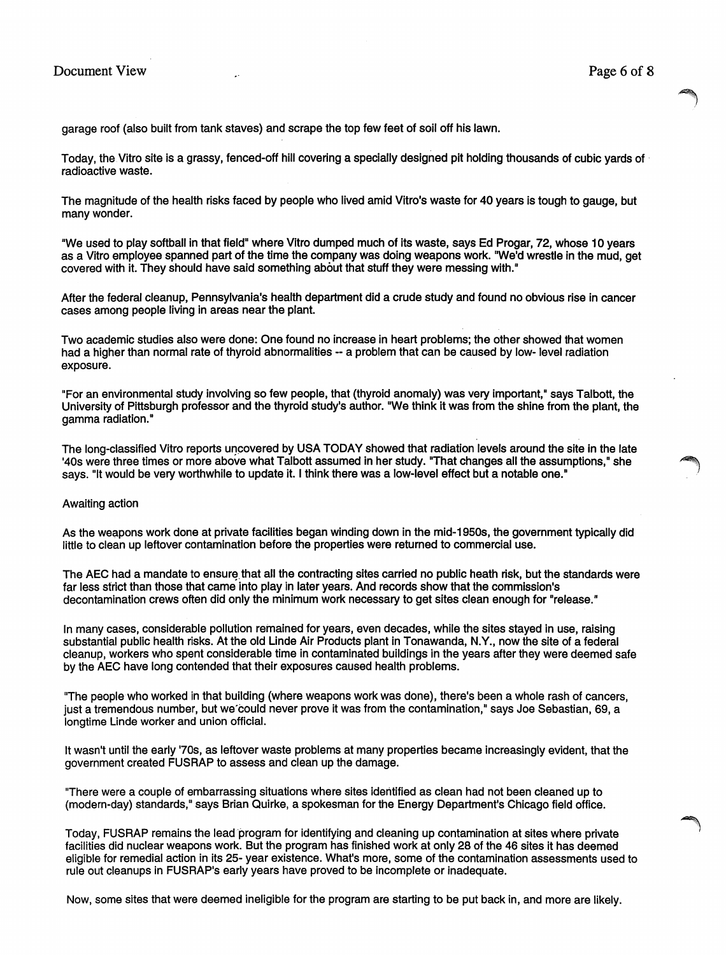garage roof (also built from tank staves) and scrape the top few feet of soil off his lawn.

Today, the Vitro site is a grassy, fenced-off hill covering a specially designed pit holding thousands of cubic yards of· radioactive waste.

The magnitude of the health risks faced by people who lived amid Vitro's waste for 40 years is tough to gauge, but many wonder.

"We used to play softball in that field" where Vitro dumped much of its waste, says Ed Progar, 72, whose 10 years as a Vitro employee spanned part of the time the company was doing weapons work. "We'd wrestle in the mud, get covered with it. They should have said something about that stuff they were messing with."

After the federal cleanup, Pennsylvania's health department did a crude study and found no obvious rise in cancer cases among people living in areas near the plant.

Two academic studies also were done: One found no increase in heart problems; the other showed that women had a higher than normal rate of thyroid abnormalities -- a problem that can be caused by low- level radiation exposure.

"For an environmental study involving so few people, that (thyroid anomaly) was very important," says Talbott, the University of Pittsburgh professor and the thyroid study's author. "We think it was from the shine from the plant, the gamma radiation."

The long-classified Vitro reports uncovered by USA TODAY showed that radiation levels around the site in the late '40s were three times or more above what Talbott assumed in her study. "That changes all the assumptions," she l says. "It would be very worthwhile to update it. I think there was a low-level effect but a notable one."

#### Awaiting action

As the weapons work done at private facilities began winding down in the mid-1950s, the government typically did little to clean up leftover contamination before the properties were returned to commercial use.

The AEC had a mandate to ensure that all the contracting sites carried no public heath risk, but the standards were far less strict than those that came into play in later years. And records show that the commission's decontamination crews often did only the minimum work necessary to get sites clean enough for "release."

In many cases, considerable pollution remained for years, even decades, while the sites stayed in use, raising substantial public health risks. At the old Linde Air Products plant in Tonawanda, N.Y., now the site of a federal cleanup, workers who spent considerable time in contaminated buildings in the years after they were deemed safe by the AEC have long contended that their exposures caused health problems.

"The peoplewho worked in that building (where weapons work was done), there's been a whole rash of cancers, just a tremendous number, but we"could never prove it was from the contamination," says Joe Sebastian, 69, a longtime Linde worker and union official.

It wasn't until the early '70s, as leftover waste problems at many properties became increasingly evident, that the government created FUSRAP to assess and clean up the damage.

"There were a couple of embarrassing situations where sites identified as clean had not been cleaned up to (modern-day) standards," says Brian Quirke, a spokesman for the Energy Department's Chicago field office.

Today, FUSRAP remains the lead program for identifying and cleaning up contamination at sites where private facilities did nuclear weapons work. But the program has finished work at only 28 of the 46 sites it has deemed eligible for remedial action in its 25- year existence. What's more, some of the contamination assessments used to rule out cleanups in FUSRAP's early years have proved to be incomplete or inadequate.

Now, some sites that were deemed ineligible for the program are starting to be put back in, and more are likely.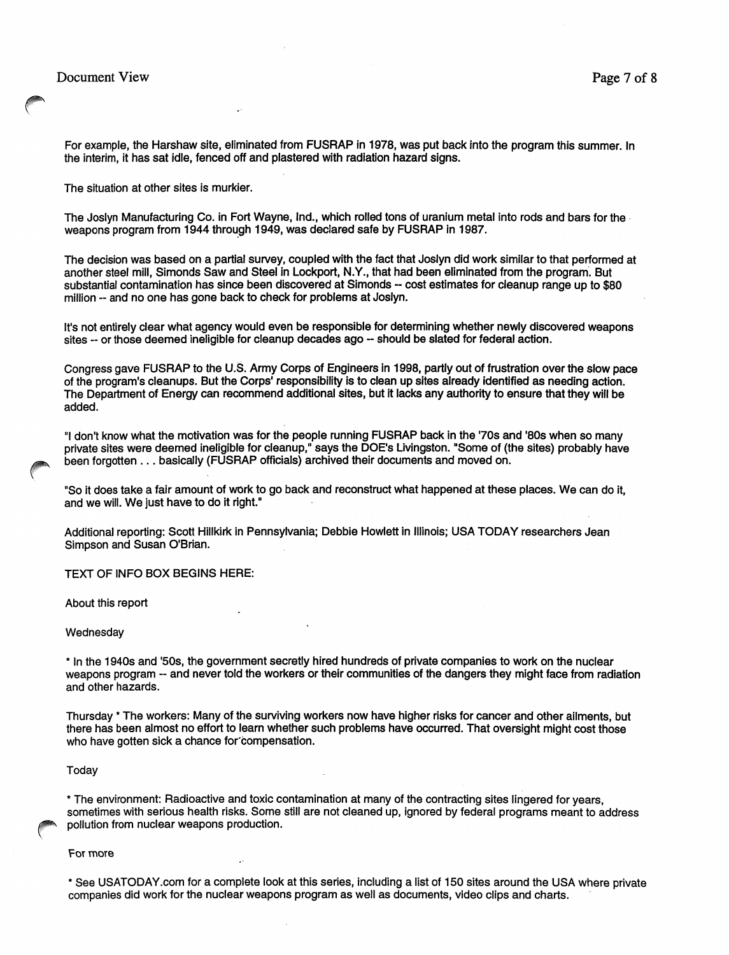# Document View Page 7 of 8

For example, the Harshaw site, eliminated from FUSRAP in 1978, was put back into the program this summer. In the interim, it has sat idle, fenced off and plastered with radiation hazard signs.

The situation at other sites is murkier.

The Joslyn Manufacturing Co. in Fort Wayne, Ind., which rolled tons of uranium metal into rods and bars for the· weapons program from 1944 through 1949, was declared safe by FUSRAP in 1987.

The decision was based on a partial survey, coupled with the fact that Joslyn did work similar to that performed at another steel mill, Simonds Saw and Steel in Lockport, N.V., that had been eliminated from the program. But substantial contamination has since been discovered at Simonds -- cost estimates for cleanup range up to \$80 million -- and no one has gone back to check for problems at Joslyn.

It's not entirely clear what agency would even be responsible for determining whether newly discovered weapons sites -- or those deemed ineligible for cleanup decades ago -- should be slated for federal action.

Congress gave FUSRAP to the U.S. Army Corps of Engineers in 1998, partly out of frustration over the slow pace of the program's cleanups. But the Corps' responsibility is to clean up sites already identified as needing action. The Department of Energy can recommend additional sites, but it lacks any authority to ensure that they will be added.

"I don't know what the motivation was for the people running FUSRAP back in the '70s and '80s when so many private sites were deemed ineligible for cleanup," says the DOE's Livingston. "Some of (the sites) probably have been forgotten ... basically (FUSRAP officials) archived their documents and moved on.

"So it does take a fair amount of work to go back and reconstruct what happened at these places. We can do it, and we will. We just have to do it right."

Additional reporting: Scott Hillkirk in Pennsylvania; Debbie Howlett in Illinois; USA TODAV researchers Jean Simpson and Susan O'Brian.

TEXT OF INFO BOX BEGINS HERE:

About this report

#### Wednesday

\* In the 1940s and '50s, the government secretly hired hundreds of private companies to work on the nuclear weapons program -- and never told the workers or their communities of the dangers they might face from radiation and other hazards.

Thursday • The workers: Many of the surviving workers now have higher risks for cancer and other ailments, but there has been almost no effort to learn whether such problems have occurred. That oversight might cost those who have gotten sick a chance for compensation.

#### **Today**

\* The environment: Radioactive and toxic contamination at many of the contracting sites lingered for years, sometimes with serious health risks. Some still are not cleaned up, ignored by federal programs meant to address pollution from nuclear weapons production.

For more

\* See USATODAY.com for a complete look at this series, including a list of 150 sites around the USA where private companies did work for the nuclear weapons program as well as documents, video clips and charts.